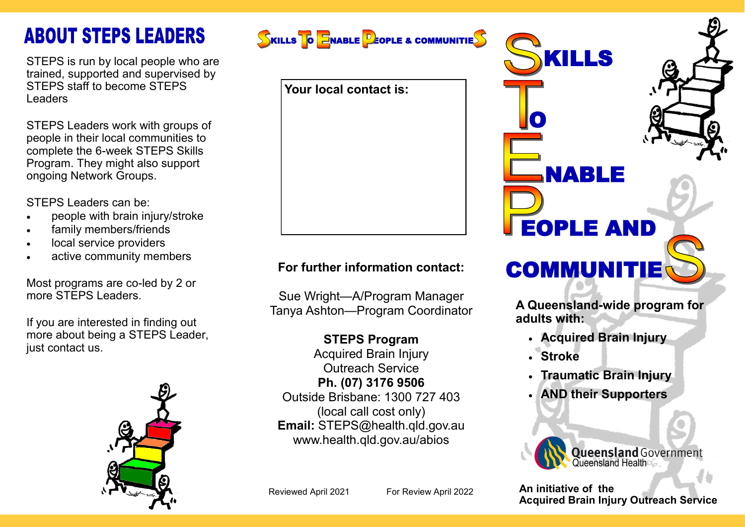# **ABOUT STEPS LEADERS**

STEPS is run by local people who are trained, supported and supervised by STEPS staff to become STEPS Leaders

STEPS Leaders work with groups of people in their local communities to complete the 6-week STEPS Skills Program. They might also support ongoing Network Groups.

STEPS Leaders can be:

- people with brain injury/stroke
- family members/friends
- local service providers
- active community members

Most programs are co-led by 2 or more STEPS Leaders.

If you are interested in finding out more about being a STEPS Leader, just contact us.





**Your local contact is:**

### **For further information contact:**

Sue Wright—A/Program Manager Tanya Ashton—Program Coordinator

#### **STEPS Program**

Acquired Brain Injury Outreach Service **Ph. (07) 3176 9506**  Outside Brisbane: 1300 727 403 (local call cost only) **Email:** STEPS@health.qld.gov.au www.health.qld.gov.au/abios



**A Queensland-wide program for adults with:**

- **Acquired Brain Injury**
- **Stroke**
- **Traumatic Brain Injury**
- **AND their Supporters**



**An initiative of the Acquired Brain Injury Outreach Service**

Reviewed April 2021 For Review April 2022